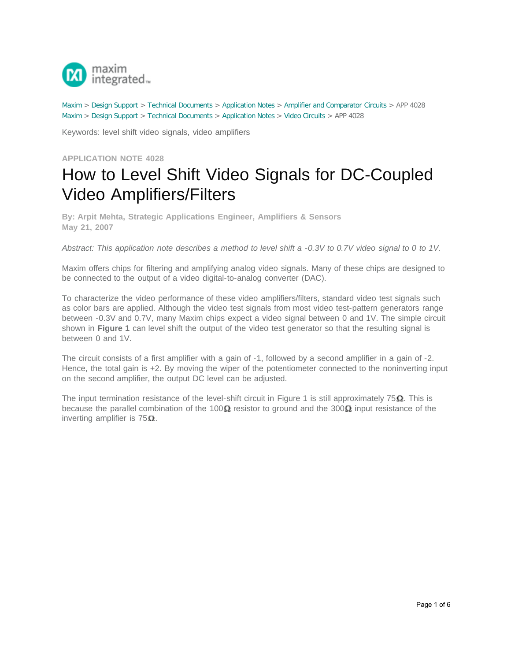

[Maxim](http://www.maximintegrated.com/) > [Design Support](http://www.maximintegrated.com/design/) > [Technical Documents](http://www.maximintegrated.com/design/techdocs/) > [Application Notes](http://www.maximintegrated.com/design/techdocs/app-notes/index.mvp) > [Amplifier and Comparator Circuits](http://www.maximintegrated.com/design/techdocs/app-notes/index.mvp/id/3/c/Amplifier%20and%20Comparator%20Circuits#c3) > APP 4028 [Maxim](http://www.maximintegrated.com/) > [Design Support](http://www.maximintegrated.com/design/) > [Technical Documents](http://www.maximintegrated.com/design/techdocs/) > [Application Notes](http://www.maximintegrated.com/design/techdocs/app-notes/index.mvp) > [Video Circuits](http://www.maximintegrated.com/design/techdocs/app-notes/index.mvp/id/26/c/Video%20Circuits#c26) > APP 4028

Keywords: level shift video signals, video amplifiers

**APPLICATION NOTE 4028**

## How to Level Shift Video Signals for DC-Coupled Video Amplifiers/Filters

**By: Arpit Mehta, Strategic Applications Engineer, Amplifiers & Sensors May 21, 2007**

*Abstract: This application note describes a method to level shift a -0.3V to 0.7V video signal to 0 to 1V.*

Maxim offers chips for filtering and amplifying analog video signals. Many of these chips are designed to be connected to the output of a video digital-to-analog converter (DAC).

To characterize the video performance of these video amplifiers/filters, standard video test signals such as color bars are applied. Although the video test signals from most video test-pattern generators range between -0.3V and 0.7V, many Maxim chips expect a video signal between 0 and 1V. The simple circuit shown in **Figure 1** can level shift the output of the video test generator so that the resulting signal is between 0 and 1V.

The circuit consists of a first amplifier with a gain of -1, followed by a second amplifier in a gain of -2. Hence, the total gain is  $+2$ . By moving the wiper of the potentiometer connected to the noninverting input on the second amplifier, the output DC level can be adjusted.

The input termination resistance of the level-shift circuit in Figure 1 is still approximately  $75\Omega$ . This is because the parallel combination of the 100 $\Omega$  resistor to ground and the 300 $\Omega$  input resistance of the inverting amplifier is  $75\Omega$ .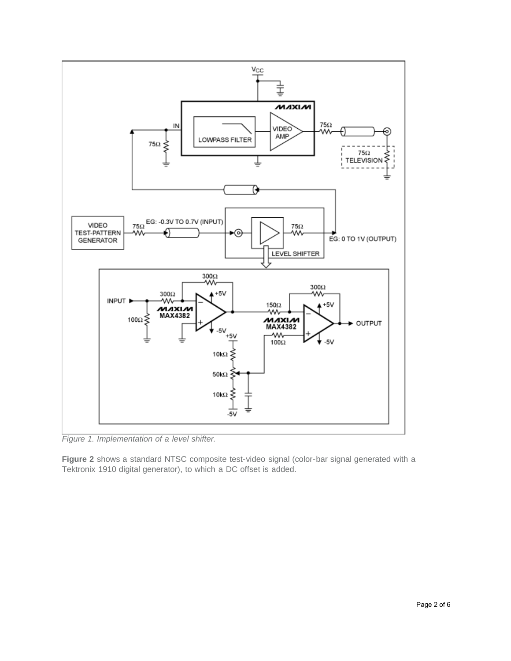

*Figure 1. Implementation of a level shifter.*

**Figure 2** shows a standard NTSC composite test-video signal (color-bar signal generated with a Tektronix 1910 digital generator), to which a DC offset is added.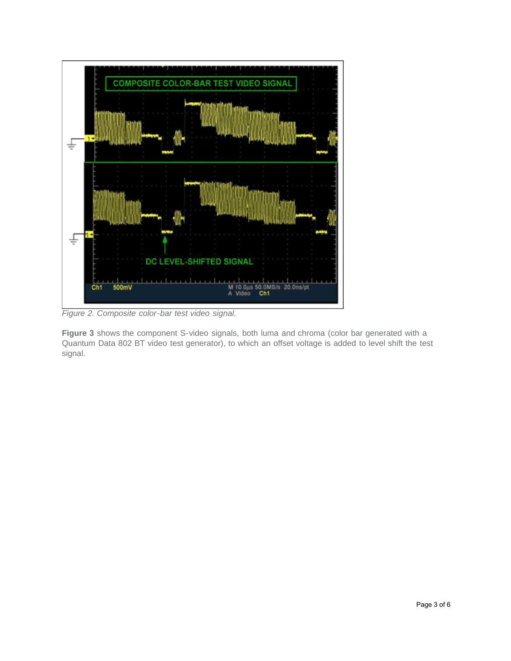

*Figure 2. Composite color-bar test video signal.*

**Figure 3** shows the component S-video signals, both luma and chroma (color bar generated with a Quantum Data 802 BT video test generator), to which an offset voltage is added to level shift the test signal.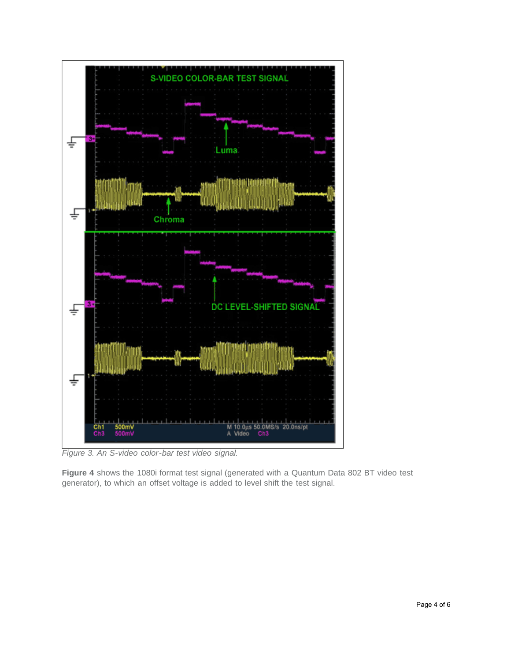

*Figure 3. An S-video color-bar test video signal.*

**Figure 4** shows the 1080i format test signal (generated with a Quantum Data 802 BT video test generator), to which an offset voltage is added to level shift the test signal.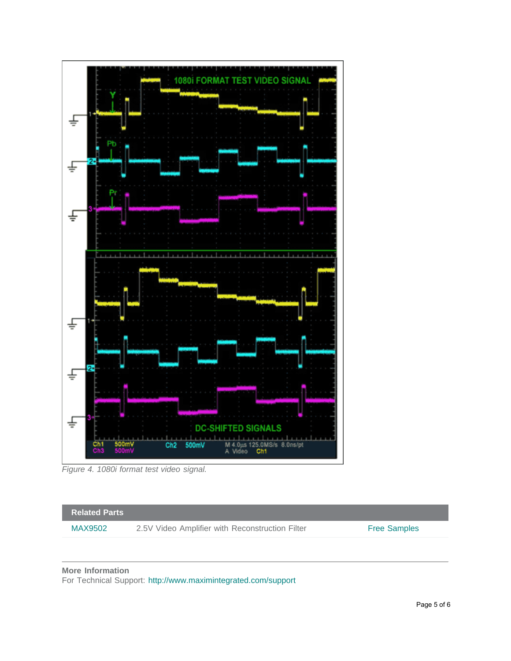

*Figure 4. 1080i format test video signal.*



For Technical Support: <http://www.maximintegrated.com/support>